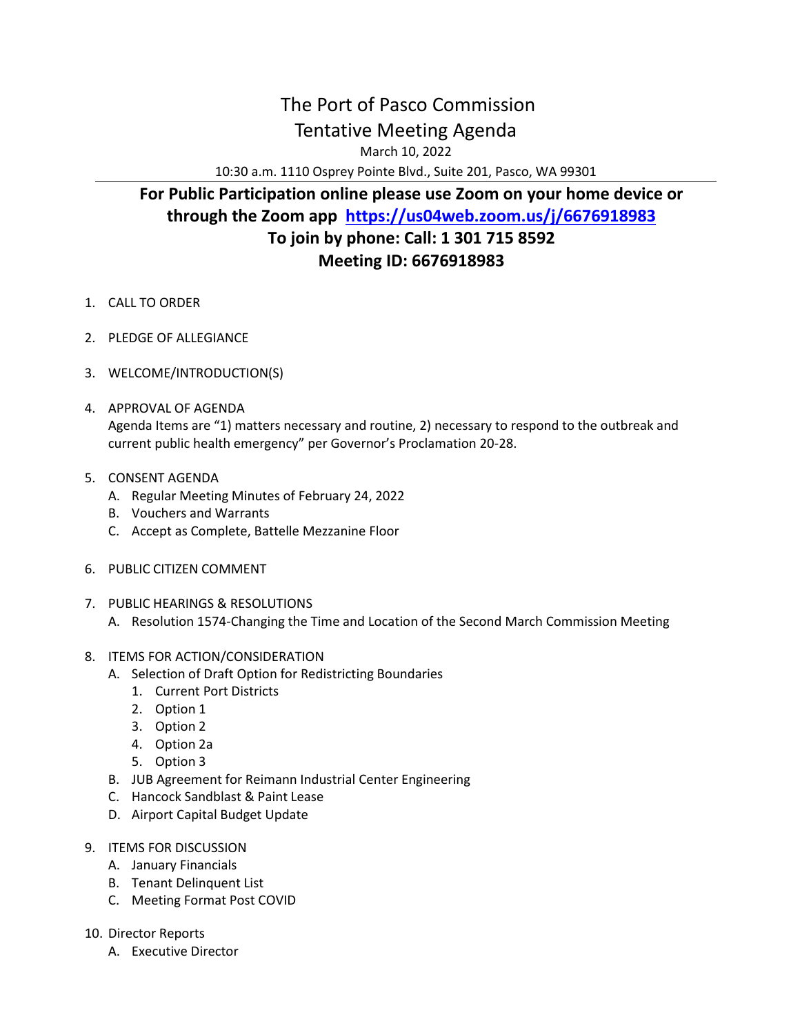## The Port of Pasco Commission Tentative Meeting Agenda

March 10, 2022

10:30 a.m. 1110 Osprey Pointe Blvd., Suite 201, Pasco, WA 99301

## **For Public Participation online please use Zoom on your home device or through the Zoom app <https://us04web.zoom.us/j/6676918983> To join by phone: Call: 1 301 715 8592 Meeting ID: 6676918983**

- 1. CALL TO ORDER
- 2. PLEDGE OF ALLEGIANCE
- 3. WELCOME/INTRODUCTION(S)
- 4. APPROVAL OF AGENDA Agenda Items are "1) matters necessary and routine, 2) necessary to respond to the outbreak and current public health emergency" per Governor's Proclamation 20-28.
- 5. CONSENT AGENDA
	- A. Regular Meeting Minutes of February 24, 2022
	- B. Vouchers and Warrants
	- C. Accept as Complete, Battelle Mezzanine Floor
- 6. PUBLIC CITIZEN COMMENT
- 7. PUBLIC HEARINGS & RESOLUTIONS
	- A. Resolution 1574-Changing the Time and Location of the Second March Commission Meeting
- 8. ITEMS FOR ACTION/CONSIDERATION
	- A. Selection of Draft Option for Redistricting Boundaries
		- 1. Current Port Districts
		- 2. Option 1
		- 3. Option 2
		- 4. Option 2a
		- 5. Option 3
	- B. JUB Agreement for Reimann Industrial Center Engineering
	- C. Hancock Sandblast & Paint Lease
	- D. Airport Capital Budget Update
- 9. ITEMS FOR DISCUSSION
	- A. January Financials
	- B. Tenant Delinquent List
	- C. Meeting Format Post COVID
- 10. Director Reports
	- A. Executive Director